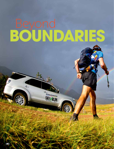# **boundaries** Beyond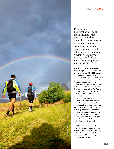

Perseverance, determination, good old-fashioned guts… these are standard mental attributes needed to compete in (and complete) endurance sports events. To make it home on the Salomon Skyrun though, you need to be endowed with something more, writes **JAZZ KUSCHKE.**

#### **The Salomon Skyrun is an ultra-**

distance, high-altitude endurance run over an unmarked 100-odd-kilometre route through the highlands of the northern Eastern Cape. Athletes have to pass through nine checkpoints on their foot journey from Lady Grey, along the remote Herschel/Lesotho border fence to the finish at Wartrail Country Club. They need to be totally self-sufficient, navigate by map, compass and GPS unit. Most take more than 27 hours to complete the race.

The mountain elements are unpredictable at best and lethal at worst; the variables are many; the prize money is negligible (that's if you win). When these athletes go back to their daily lives after the race, there's really no way for them to make others understand just quite what they've achieved. Why then, would they put themselves through it? And, what makes for a good Skyrunner?

**LEFT: Runners have to carry their own food and water (at least three litres) as well as compulsory gear, including foul-weather clothing, a whistle, compass, space blanket, charged cellphone and headlight.**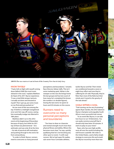

**ABOVE: The race starts at 4 am in front of the Country View Inn in Lady Grey.**

#### Know thyself

"I had a full-on fight with myself coming down Balloch Wall (the most iconic obstacle in the race)," explains Matthew de Haast of his 2011 Skyrun experience. "It was a total little temper tantrum; I actually sat down and shouted at myself. Then I got up, put some music on my iPod and just pushed on."

He ran most of the race among the top 10 before a midnight navigational error sent him way off-course, seeing him eventually trudge into Wartrail in 18th place.

Matthew didn't run in the 2012 event at the beginning of November because of injury, but while his 2011 top-20 feat was phenomenal – he's asthmatic and was only 20 at the time – his tale of practical self-motivation and pushing through to the end is far from extraordinary.

"In order to finish Skyrun, runners need to overcome so many personal

perceptions and boundaries," remarks Race Director Adrian Saffy. This isn't some marketing spiel. Adrian is the sweeper on the race (he brings home the last group) and has lost count of how many he's completed (he knows the number is in double figures). During the last event, he spent 32 hours and 20 minutes on the course.

# Runners need to overcome so many personal perceptions and boundaries

"You have to draw on character and mental strength much more than physical fitness and ability. Where this becomes most clear," he says, quickly qualifying that he's not knocking any other sport or event, "is with road runners. We've had super-fit roadies, sub-seven-hour Comrades athletes,

tackle Skyrun and fail. Their minds are conditioned towards a seven or eight-hour effort and now they're suffering for 20-odd. Physically, they're fitter than most of the field, but their minds aren't tuned to the gravity of the task ahead."

#### Goals within a goal

"Trail running can be very frustrating," agrees Ryan Sandes, the 2012 Salomon Skyrun champion and arguably South Africa's most successful trail-runner.

"In an event like Skyrun, it can take two hours to run 10 kilometres. You can easily convince yourself that it should only have been 50 minutes. It starts to play on your mind."

Ryan, who has won high-profile races all over the world including the well-known Leadville 100-miler in the United States, used a fairly simple strategy to overcome this and smash the Skyrun record by more than two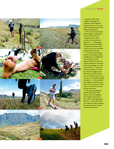

**8**

# adventure**zone**

**1. Runners often stick together in groups for company and navigation purposes, but it is very easy to get isolated and then it's a long, hard slog alone. / 2 . The route is unmarked, but navigation equipment such as a GPS device, is compulsory. Of course you have to know how to operate it. / 3. Managing blisters and chafe is almost as important to ultra trail runners as proper nutrition and hydration. Almost. / 4. Eventual winner Ryan Sandes at the halfway mark at Balloch Caves. Girlfriend Vanessa Haywood has supported Ryan at many of his international events and knows the change-over and restock drill. / 5. Many of the back-markers view the race more as a high-speed hike than a trail run. There are cut-off times, however, so you have to carefully manage your pace. / 6. Ryan Sandes showing the form that took him to a record time of 12:36, some two hours faster than the previous time.** 

**/ 7. The imposing Balloch Wall is end-point of the Skyrun Lite and arguably the toughest obstacle for the runners attempting the Skyrun. / 8. The 2012 event saw radical weather changes, from intense heat, to sleet and thunderstorms.**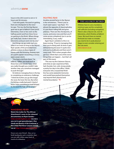# adventure**zone**

hours in the 2012 event to win in 12 hours and 36 minutes.

"I set mini goals; I focused on getting from one checkpoint to the next," he says. "For me, the first big Skyrun goal was to get to Balloch Caves (at 65 kilometres, more or less seen as the halfway point) and from there focus on getting to the finish. Where things got really bad, I broke it down into kilometres and just went one by one."

And things can go really bad very often in an event as long as the Skyrun. Ryan speaks of the proverbial lows athletes endure in these types of events with the knowing, faraway eyes of a yacht captain recounting a vicious open-ocean storm.

"You learn a lot from them," he reflects. "Often, you look back at those lows and wonder how, when you really thought you couldn't take another step, you somehow managed to push through."

He believes managing these is the key to completing an endurance challenge. "I think the further you go (the longer the race), the lower the low. But when I'm hitting a really bad patch I kind of know I have something to look forward to, because the high will be proper."

## **FIGHTING FEAR**

Another pivotal factor in the Skyrun is the remoteness. "There's just so much open space," says Ryan. "It's almost the opposite of claustrophobia; it's just these rolling hills and grass plateaus. There are the checkpoints, of course, and every now and then you'll come across a shepherd, but it can be intimidating. Scary, really."

Again Ryan's antidote to this is to keep moving. "If you're managing that, then you're doing well. At times it gets disheartening because it's quite slow and you're at altitude and there aren't many trails. This is when people often get lost. I think that's one of the worst things that can happen ... but that's all part of this event.

"This was my first Salomon Skyrun, and what an epic experience! Rain, hail, thunder, hot, cold, strong winds; a pretty fun day in the office. I think everyone who crossed that finish line has some awesome memories and would have pushed themselves way beyond their physical and mental boundaries." Z

## **The Salomon Skyrun**

Athletes have to carry mandatory minimum gear and be completely self-sufficient (including navigation). There is also a Skyrun Lite, over 65 kilometres, which finishes at Balloch Caves. We touch here on mental fortitude but make no mistake: you need to be in peak physical shape to even consider entering just the Lite event. *www.skyrun.co.za*

**WEB**

## Wandering Fever

**Watch the trailer for The African Attachment's soon-to-be-released documentary on Ryan Sandes –**  *www.wanderingfever.com* **(we dare you not to get goosebumps). Also check out** *Beauty of the Irrational***, a film of his Fish River Canyon record**  *run at http://* 

**Fences are your friend - they act as both landmarks and a reminder that you are still within some kind of reach of civilisation.**